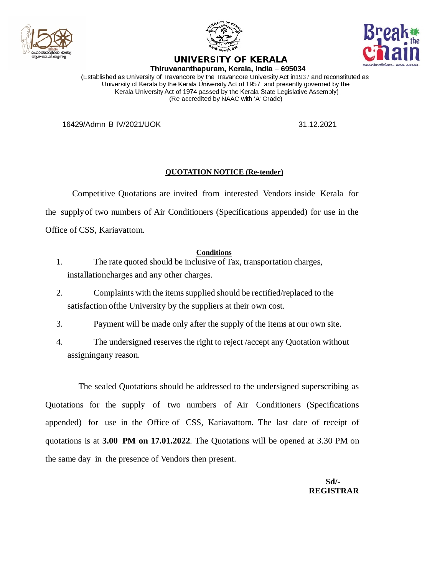





## UNIVERSITY OF KERALA Thiruvananthapuram, Kerala, India - 695034

(Established as University of Travancore by the Travancore University Act in1937 and reconstituted as University of Kerala by the Kerala University Act of 1957 and presently governed by the Kerala University Act of 1974 passed by the Kerala State Legislative Assembly) (Re-accredited by NAAC with 'A' Grade)

16429/Admn B IV/2021/UOK 31.12.2021

## **QUOTATION NOTICE (Re-tender)**

Competitive Quotations are invited from interested Vendors inside Kerala for the supplyof two numbers of Air Conditioners (Specifications appended) for use in the Office of CSS, Kariavattom.

## **Conditions**

- 1. The rate quoted should be inclusive ofTax, transportation charges, installationcharges and any other charges.
- 2. Complaints with the items supplied should be rectified/replaced to the satisfaction ofthe University by the suppliers at their own cost.
- 3. Payment will be made only after the supply of the items at our own site.
- 4. The undersigned reserves the right to reject /accept any Quotation without assigningany reason.

The sealed Quotations should be addressed to the undersigned superscribing as Quotations for the supply of two numbers of Air Conditioners (Specifications appended) for use in the Office of CSS, Kariavattom. The last date of receipt of quotations is at **3.00 PM on 17.01.2022**. The Quotations will be opened at 3.30 PM on the same day in the presence of Vendors then present.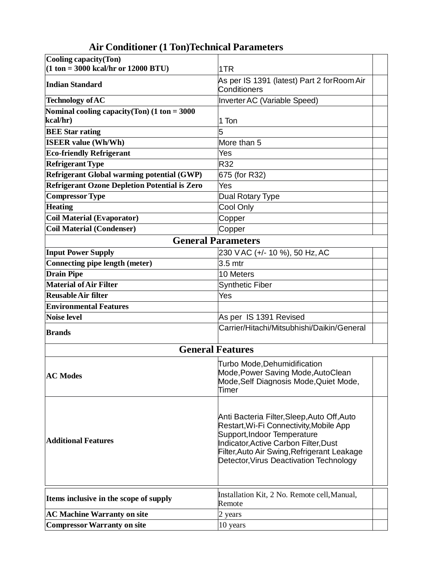| Cooling capacity (Ton)<br>$(1 \text{ ton} = 3000 \text{ kcal/hr or } 12000 \text{ BTU})$ |                                                                                                                                                                                                                                                          |  |
|------------------------------------------------------------------------------------------|----------------------------------------------------------------------------------------------------------------------------------------------------------------------------------------------------------------------------------------------------------|--|
|                                                                                          | 1TR                                                                                                                                                                                                                                                      |  |
| <b>Indian Standard</b>                                                                   | As per IS 1391 (latest) Part 2 for Room Air<br>Conditioners                                                                                                                                                                                              |  |
| <b>Technology of AC</b>                                                                  | Inverter AC (Variable Speed)                                                                                                                                                                                                                             |  |
| Nominal cooling capacity (Ton) $(1 \text{ ton} = 3000$                                   |                                                                                                                                                                                                                                                          |  |
| kcal/hr)                                                                                 | 1 Ton                                                                                                                                                                                                                                                    |  |
| <b>BEE Star rating</b>                                                                   | 5                                                                                                                                                                                                                                                        |  |
| <b>ISEER value (Wh/Wh)</b>                                                               | More than 5                                                                                                                                                                                                                                              |  |
| <b>Eco-friendly Refrigerant</b>                                                          | Yes                                                                                                                                                                                                                                                      |  |
| <b>Refrigerant Type</b>                                                                  | R32                                                                                                                                                                                                                                                      |  |
| Refrigerant Global warming potential (GWP)                                               | 675 (for R32)                                                                                                                                                                                                                                            |  |
| <b>Refrigerant Ozone Depletion Potential is Zero</b>                                     | Yes                                                                                                                                                                                                                                                      |  |
| <b>Compressor Type</b>                                                                   | Dual Rotary Type                                                                                                                                                                                                                                         |  |
| <b>Heating</b>                                                                           | Cool Only                                                                                                                                                                                                                                                |  |
| <b>Coil Material (Evaporator)</b>                                                        | Copper                                                                                                                                                                                                                                                   |  |
| <b>Coil Material (Condenser)</b>                                                         | Copper                                                                                                                                                                                                                                                   |  |
| <b>General Parameters</b>                                                                |                                                                                                                                                                                                                                                          |  |
| <b>Input Power Supply</b>                                                                | 230 VAC (+/- 10 %), 50 Hz, AC                                                                                                                                                                                                                            |  |
| Connecting pipe length (meter)                                                           | 3.5 mtr                                                                                                                                                                                                                                                  |  |
| <b>Drain Pipe</b>                                                                        | 10 Meters                                                                                                                                                                                                                                                |  |
| <b>Material of Air Filter</b>                                                            | <b>Synthetic Fiber</b>                                                                                                                                                                                                                                   |  |
| <b>Reusable Air filter</b>                                                               | Yes                                                                                                                                                                                                                                                      |  |
| <b>Environmental Features</b>                                                            |                                                                                                                                                                                                                                                          |  |
| <b>Noise level</b>                                                                       | As per IS 1391 Revised                                                                                                                                                                                                                                   |  |
| <b>Brands</b>                                                                            | Carrier/Hitachi/Mitsubhishi/Daikin/General                                                                                                                                                                                                               |  |
|                                                                                          | <b>General Features</b>                                                                                                                                                                                                                                  |  |
|                                                                                          |                                                                                                                                                                                                                                                          |  |
| <b>AC Modes</b>                                                                          | Turbo Mode, Dehumidification<br>Mode, Power Saving Mode, AutoClean<br>Mode, Self Diagnosis Mode, Quiet Mode,<br>Timer                                                                                                                                    |  |
|                                                                                          |                                                                                                                                                                                                                                                          |  |
| <b>Additional Features</b>                                                               | Anti Bacteria Filter, Sleep, Auto Off, Auto<br>Restart, Wi-Fi Connectivity, Mobile App<br>Support, Indoor Temperature<br>Indicator, Active Carbon Filter, Dust<br>Filter, Auto Air Swing, Refrigerant Leakage<br>Detector, Virus Deactivation Technology |  |
| Items inclusive in the scope of supply                                                   | Installation Kit, 2 No. Remote cell, Manual,<br>Remote                                                                                                                                                                                                   |  |
| <b>AC Machine Warranty on site</b>                                                       | 2 years                                                                                                                                                                                                                                                  |  |
| <b>Compressor Warranty on site</b>                                                       | 10 years                                                                                                                                                                                                                                                 |  |

## **Air Conditioner (1 Ton)Technical Parameters**